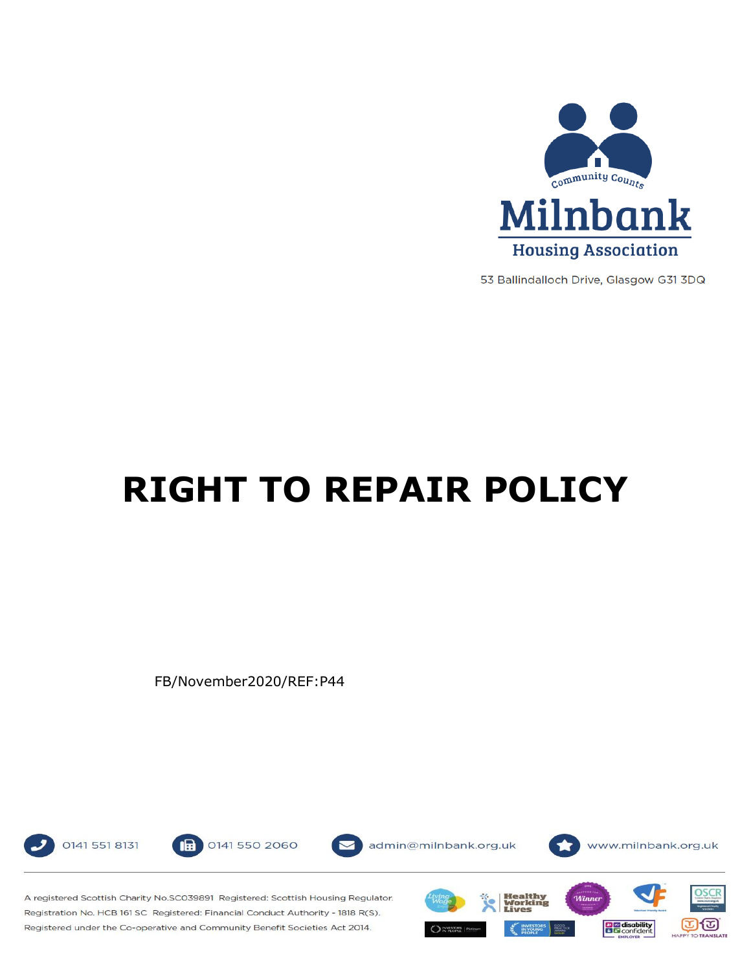

53 Ballindalloch Drive, Glasgow G31 3DQ

# **RIGHT TO REPAIR POLICY**

FB/November2020/REF:P44



0141 550 2060 18



admin@milnbank.org.uk



A registered Scottish Charity No.SC039891 Registered: Scottish Housing Regulator. Registration No. HCB 161 SC Registered: Financial Conduct Authority - 1818 R(S). Registered under the Co-operative and Community Benefit Societies Act 2014.

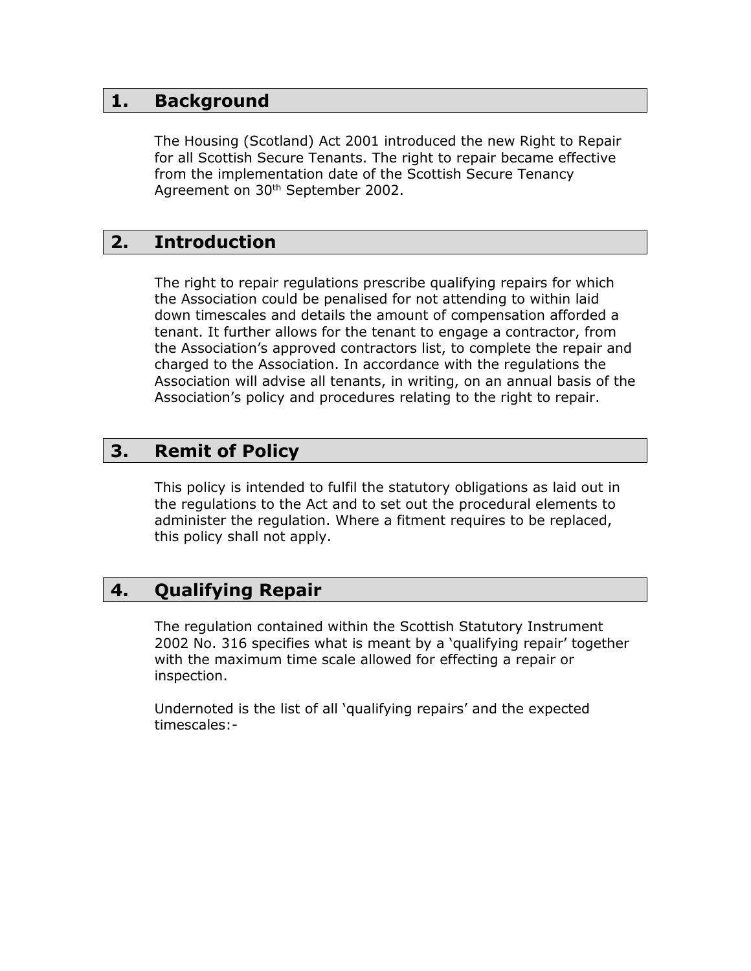## **1. Background**

The Housing (Scotland) Act 2001 introduced the new Right to Repair for all Scottish Secure Tenants. The right to repair became effective from the implementation date of the Scottish Secure Tenancy Agreement on 30<sup>th</sup> September 2002.

# **2. Introduction**

The right to repair regulations prescribe qualifying repairs for which the Association could be penalised for not attending to within laid down timescales and details the amount of compensation afforded a tenant. It further allows for the tenant to engage a contractor, from the Association's approved contractors list, to complete the repair and charged to the Association. In accordance with the regulations the Association will advise all tenants, in writing, on an annual basis of the Association's policy and procedures relating to the right to repair.

# **3. Remit of Policy**

This policy is intended to fulfil the statutory obligations as laid out in the regulations to the Act and to set out the procedural elements to administer the regulation. Where a fitment requires to be replaced, this policy shall not apply.

# **4. Qualifying Repair**

The regulation contained within the Scottish Statutory Instrument 2002 No. 316 specifies what is meant by a 'qualifying repair' together with the maximum time scale allowed for effecting a repair or inspection.

Undernoted is the list of all 'qualifying repairs' and the expected timescales:-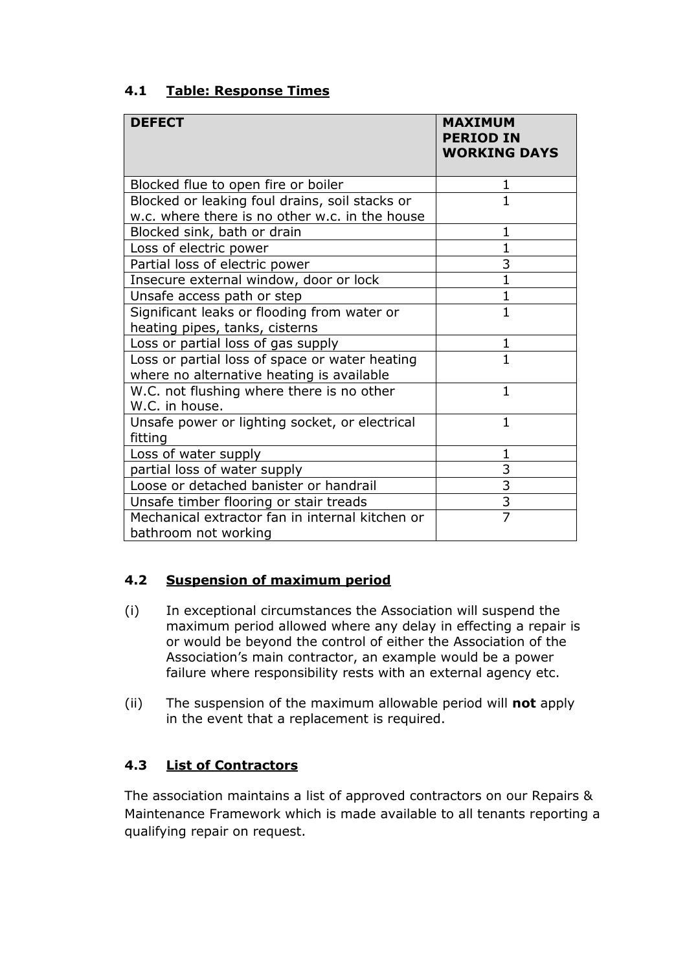| <b>DEFECT</b>                                                                                    | <b>MAXIMUM</b><br><b>PERIOD IN</b><br><b>WORKING DAYS</b> |
|--------------------------------------------------------------------------------------------------|-----------------------------------------------------------|
| Blocked flue to open fire or boiler                                                              | 1                                                         |
| Blocked or leaking foul drains, soil stacks or<br>w.c. where there is no other w.c. in the house | $\mathbf{1}$                                              |
| Blocked sink, bath or drain                                                                      | $\mathbf{1}$                                              |
| Loss of electric power                                                                           | $\mathbf{1}$                                              |
| Partial loss of electric power                                                                   | $\overline{3}$                                            |
| Insecure external window, door or lock                                                           | $\mathbf{1}$                                              |
| Unsafe access path or step                                                                       | 1                                                         |
| Significant leaks or flooding from water or<br>heating pipes, tanks, cisterns                    | $\mathbf{1}$                                              |
| Loss or partial loss of gas supply                                                               | 1                                                         |
| Loss or partial loss of space or water heating<br>where no alternative heating is available      | 1                                                         |
| W.C. not flushing where there is no other<br>W.C. in house.                                      | $\mathbf{1}$                                              |
| Unsafe power or lighting socket, or electrical<br>fitting                                        | $\mathbf{1}$                                              |
| Loss of water supply                                                                             | 1                                                         |
| partial loss of water supply                                                                     | 3                                                         |
| Loose or detached banister or handrail                                                           | $\overline{3}$                                            |
| Unsafe timber flooring or stair treads                                                           | $\overline{\overline{3}}$                                 |
| Mechanical extractor fan in internal kitchen or<br>bathroom not working                          | $\overline{7}$                                            |

## **4.1 Table: Response Times**

### **4.2 Suspension of maximum period**

- (i) In exceptional circumstances the Association will suspend the maximum period allowed where any delay in effecting a repair is or would be beyond the control of either the Association of the Association's main contractor, an example would be a power failure where responsibility rests with an external agency etc.
- (ii) The suspension of the maximum allowable period will **not** apply in the event that a replacement is required.

## **4.3 List of Contractors**

The association maintains a list of approved contractors on our Repairs & Maintenance Framework which is made available to all tenants reporting a qualifying repair on request.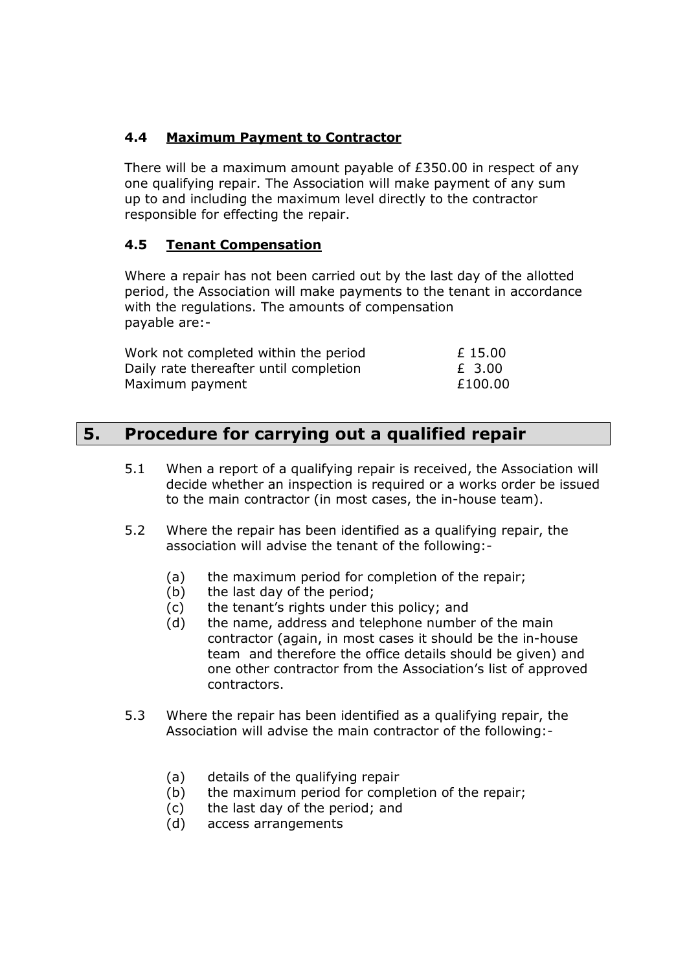## **4.4 Maximum Payment to Contractor**

There will be a maximum amount payable of £350.00 in respect of any one qualifying repair. The Association will make payment of any sum up to and including the maximum level directly to the contractor responsible for effecting the repair.

#### **4.5 Tenant Compensation**

Where a repair has not been carried out by the last day of the allotted period, the Association will make payments to the tenant in accordance with the regulations. The amounts of compensation payable are:-

| Work not completed within the period   | £15.00  |
|----------------------------------------|---------|
| Daily rate thereafter until completion | £ 3.00  |
| Maximum payment                        | £100.00 |

## **5. Procedure for carrying out a qualified repair**

- 5.1 When a report of a qualifying repair is received, the Association will decide whether an inspection is required or a works order be issued to the main contractor (in most cases, the in-house team).
- 5.2 Where the repair has been identified as a qualifying repair, the association will advise the tenant of the following:-
	- (a) the maximum period for completion of the repair;
	- (b) the last day of the period;
	- (c) the tenant's rights under this policy; and
	- (d) the name, address and telephone number of the main contractor (again, in most cases it should be the in-house team and therefore the office details should be given) and one other contractor from the Association's list of approved contractors.
- 5.3 Where the repair has been identified as a qualifying repair, the Association will advise the main contractor of the following:-
	- (a) details of the qualifying repair
	- (b) the maximum period for completion of the repair;
	- (c) the last day of the period; and
	- (d) access arrangements